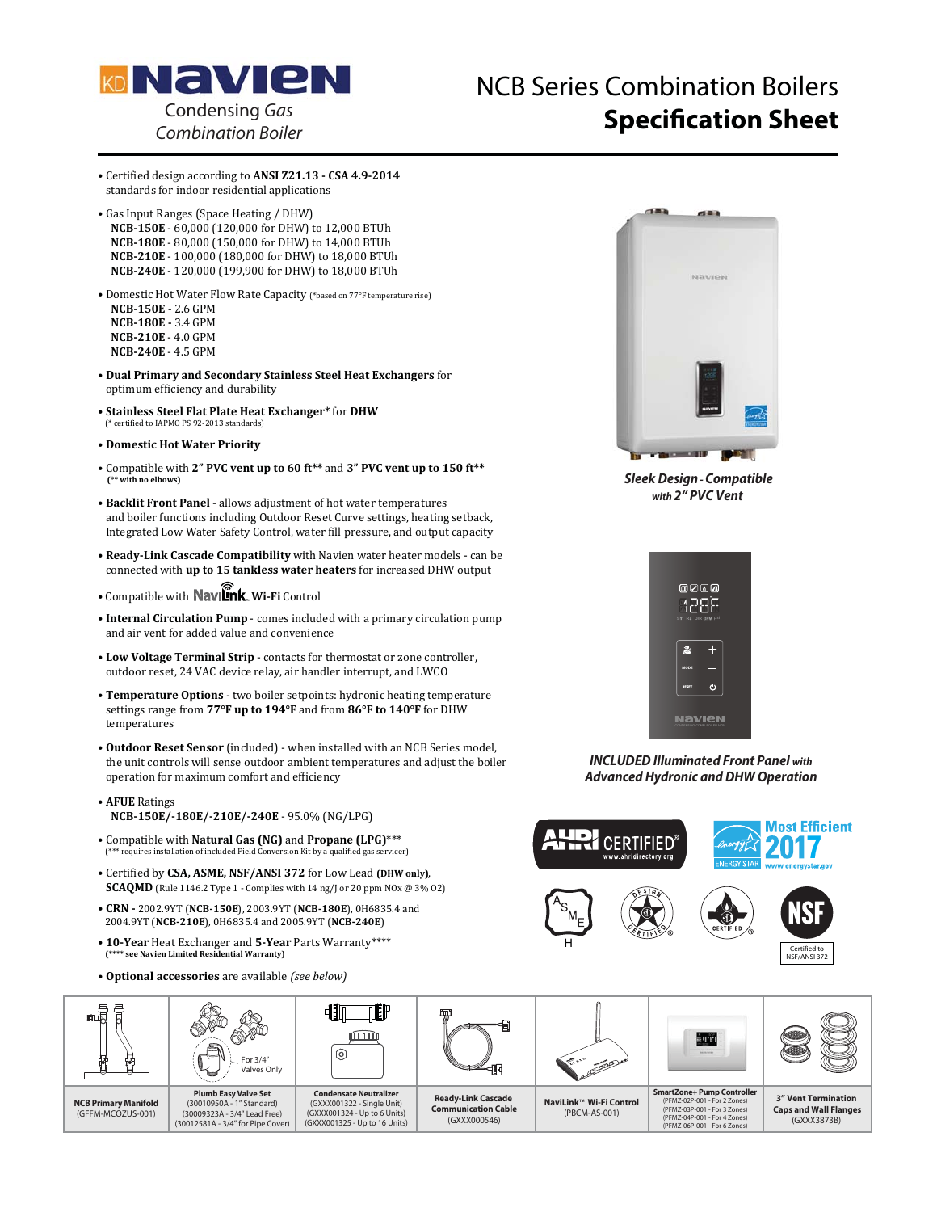

## NCB Series Combination Boilers **Specification Sheet** Condensing Gas

· Certified design according to ANSI Z21.13 - CSA 4.9-2014 standards for indoor residential applications

- Gas Input Ranges (Space Heating / DHW) **NCB-150E** - 60,000 (120,000 for DHW) to 12,000 BTUh **NCB-180E** - 80,000 (150,000 for DHW) to 14,000 BTUh **NCB-210E** - 100,000 (180,000 for DHW) to 18,000 BTUh **NCB-240E** - 120,000 (199,900 for DHW) to 18,000 BTUh
- Domestic Hot Water Flow Rate Capacity (\*hased on 77°F temperature rise) **NCB-150E - 2.6 GPM NCB-180E - 3.4 GPM NCB-210E** - 4.0 GPM **NCB-240E** - 4.5 GPM
- **Dual Primary and Secondary Stainless Steel Heat Exchangers** for optimum efficiency and durability
- $\bullet$  Stainless Steel Flat Plate Heat Exchanger\* for DHW (\* certified to IAPMO PS 92-2013 standards)
- -**Domestic Hot Water Priority**
- Compatible with 2" PVC vent up to 60 ft<sup>\*\*</sup> and 3" PVC vent up to 150 ft<sup>\*\*</sup>  **(\*\* with no elbows)**
- Backlit Front Panel allows adjustment of hot water temperatures and boiler functions including Outdoor Reset Curve settings, heating setback. Integrated Low Water Safety Control, water fill pressure, and output capacity
- Ready-Link Cascade Compatibility with Navien water heater models can be connected with up to 15 tankless water heaters for increased DHW output
- · Compatible with **Navilink**. Wi-Fi Control
- Internal Circulation Pump comes included with a primary circulation pump and air vent for added value and convenience
- Low Voltage Terminal Strip contacts for thermostat or zone controller, outdoor reset, 24 VAC device relay, air handler interrupt, and LWCO
- Temperature Options two boiler setpoints: hydronic heating temperature settings range from 77°F up to 194°F and from 86°F to 140°F for DHW temperatures
- Outdoor Reset Sensor (included) when installed with an NCB Series model, the unit controls will sense outdoor ambient temperatures and adjust the boiler operation for maximum comfort and efficiency
- **AFUE** Ratings **NCB-150E/-180E/-210E/-240E - 95.0% (NG/LPG)**
- Compatible with **Natural Gas (NG)** and **Propane (LPG)**\*\*\*<br><sup>(\*\*\*</sup> requires installation of included Field Conversion Kit by a qualified gas service <sup>\*\*\*</sup> requires installation of included Field Conversion Kit by a qualified gas servicer)
- Certified by CSA, ASME, NSF/ANSI 372 for Low Lead (DHW only), **SCAQMD** (Rule 1146.2 Type 1 - Complies with 14 ng/ or 20 ppm  $N0x \& 3\% 02$ )
- $\bullet$  CRN 2002.9YT (NCB-150E), 2003.9YT (NCB-180E), 0H6835.4 and 2004.9YT (NCB-210E), 0H6835.4 and 2005.9YT (NCB-240E)
- **10-Year** Heat Exchanger and 5-Year Parts Warranty\*\*\*\*<br><sup>(\*\*\*\*</sup> see Navien Limited Residential Warranty)
- Optional accessories are available (see below)



*Sleek Design - Compatible with 2" PVC Vent* 



*INCLUDED Illuminated Front Panel with Advanced Hydronic and DHW Operation*